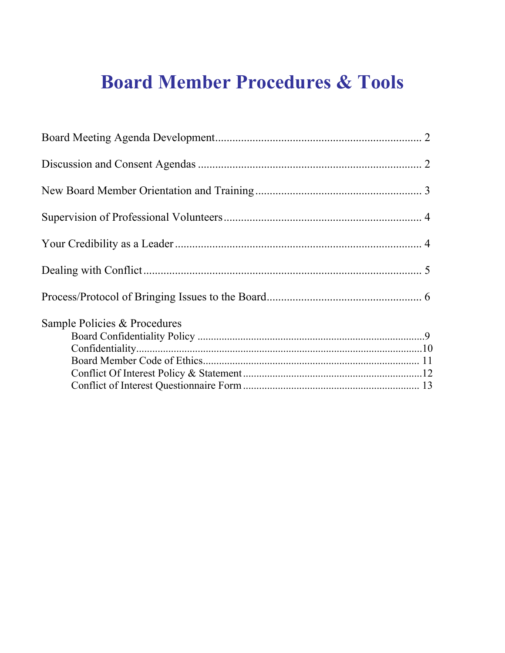# <span id="page-0-0"></span>**Board Member Procedures & Tools**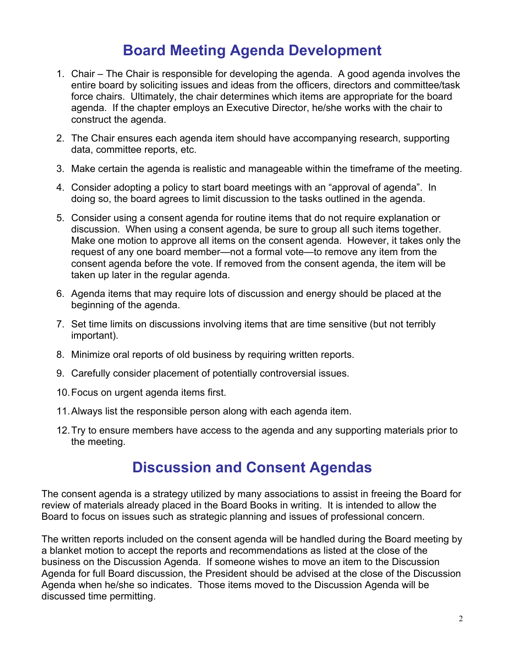### **Board Meeting Agenda Development**

- <span id="page-1-0"></span>1. Chair – The Chair is responsible for developing the agenda. A good agenda involves the entire board by soliciting issues and ideas from the officers, directors and committee/task force chairs. Ultimately, the chair determines which items are appropriate for the board agenda. If the chapter employs an Executive Director, he/she works with the chair to construct the agenda.
- 2. The Chair ensures each agenda item should have accompanying research, supporting data, committee reports, etc.
- 3. Make certain the agenda is realistic and manageable within the timeframe of the meeting.
- 4. Consider adopting a policy to start board meetings with an "approval of agenda". In doing so, the board agrees to limit discussion to the tasks outlined in the agenda.
- 5. Consider using a consent agenda for routine items that do not require explanation or discussion. When using a consent agenda, be sure to group all such items together. Make one motion to approve all items on the consent agenda. However, it takes only the request of any one board member—not a formal vote—to remove any item from the consent agenda before the vote. If removed from the consent agenda, the item will be taken up later in the regular agenda.
- 6. Agenda items that may require lots of discussion and energy should be placed at the beginning of the agenda.
- 7. Set time limits on discussions involving items that are time sensitive (but not terribly important).
- 8. Minimize oral reports of old business by requiring written reports.
- 9. Carefully consider placement of potentially controversial issues.
- 10. Focus on urgent agenda items first.
- 11. Always list the responsible person along with each agenda item.
- 12. Try to ensure members have access to the agenda and any supporting materials prior to the meeting.

### **Discussion and Consent Agendas**

The consent agenda is a strategy utilized by many associations to assist in freeing the Board for review of materials already placed in the Board Books in writing. It is intended to allow the Board to focus on issues such as strategic planning and issues of professional concern.

The written reports included on the consent agenda will be handled during the Board meeting by a blanket motion to accept the reports and recommendations as listed at the close of the business on the Discussion Agenda. If someone wishes to move an item to the Discussion Agenda for full Board discussion, the President should be advised at the close of the Discussion Agenda when he/she so indicates. Those items moved to the Discussion Agenda will be discussed time permitting.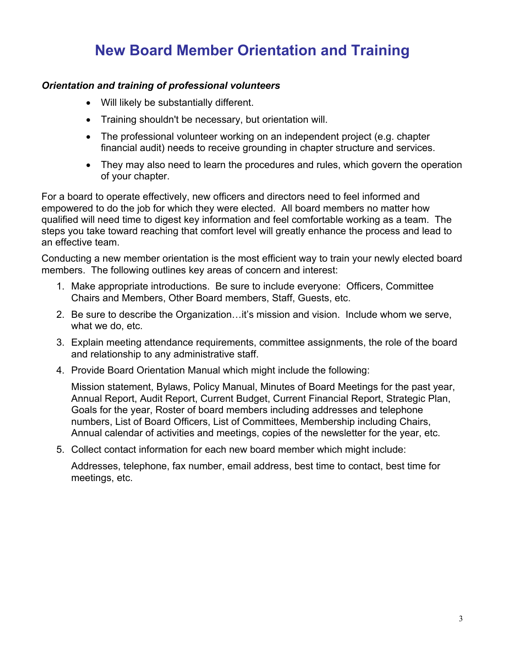# **New Board Member Orientation and Training**

### <span id="page-2-0"></span>*Orientation and training of professional volunteers*

- Will likely be substantially different.
- Training shouldn't be necessary, but orientation will.
- The professional volunteer working on an independent project (e.g. chapter financial audit) needs to receive grounding in chapter structure and services.
- They may also need to learn the procedures and rules, which govern the operation of your chapter.

For a board to operate effectively, new officers and directors need to feel informed and empowered to do the job for which they were elected. All board members no matter how qualified will need time to digest key information and feel comfortable working as a team. The steps you take toward reaching that comfort level will greatly enhance the process and lead to an effective team.

Conducting a new member orientation is the most efficient way to train your newly elected board members. The following outlines key areas of concern and interest:

- 1. Make appropriate introductions. Be sure to include everyone: Officers, Committee Chairs and Members, Other Board members, Staff, Guests, etc.
- 2. Be sure to describe the Organization…it's mission and vision. Include whom we serve, what we do, etc.
- 3. Explain meeting attendance requirements, committee assignments, the role of the board and relationship to any administrative staff.
- 4. Provide Board Orientation Manual which might include the following:

Mission statement, Bylaws, Policy Manual, Minutes of Board Meetings for the past year, Annual Report, Audit Report, Current Budget, Current Financial Report, Strategic Plan, Goals for the year, Roster of board members including addresses and telephone numbers, List of Board Officers, List of Committees, Membership including Chairs, Annual calendar of activities and meetings, copies of the newsletter for the year, etc.

5. Collect contact information for each new board member which might include:

Addresses, telephone, fax number, email address, best time to contact, best time for meetings, etc.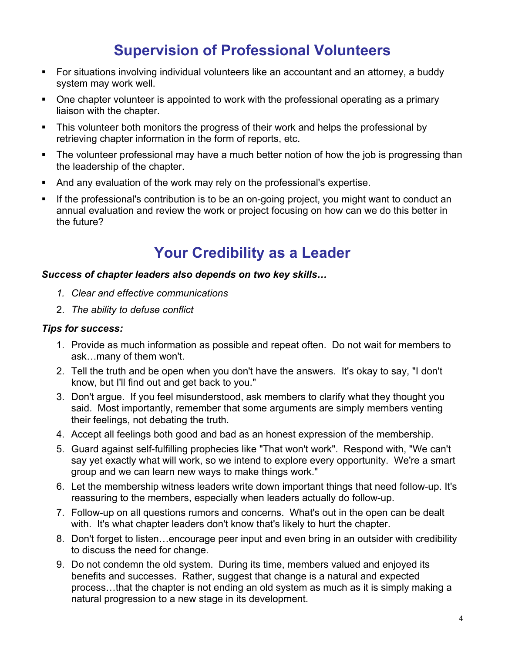# **Supervision of Professional Volunteers**

- <span id="page-3-0"></span> For situations involving individual volunteers like an accountant and an attorney, a buddy system may work well.
- One chapter volunteer is appointed to work with the professional operating as a primary liaison with the chapter.
- This volunteer both monitors the progress of their work and helps the professional by retrieving chapter information in the form of reports, etc.
- The volunteer professional may have a much better notion of how the job is progressing than the leadership of the chapter.
- And any evaluation of the work may rely on the professional's expertise.
- If the professional's contribution is to be an on-going project, you might want to conduct an annual evaluation and review the work or project focusing on how can we do this better in the future?

### **Your Credibility as a Leader**

### *Success of chapter leaders also depends on two key skills…*

- *1. Clear and effective communications*
- 2. *The ability to defuse conflict*

### *Tips for success:*

- 1. Provide as much information as possible and repeat often. Do not wait for members to ask…many of them won't.
- 2. Tell the truth and be open when you don't have the answers. It's okay to say, "I don't know, but I'll find out and get back to you."
- 3. Don't argue. If you feel misunderstood, ask members to clarify what they thought you said. Most importantly, remember that some arguments are simply members venting their feelings, not debating the truth.
- 4. Accept all feelings both good and bad as an honest expression of the membership.
- 5. Guard against self-fulfilling prophecies like "That won't work". Respond with, "We can't say yet exactly what will work, so we intend to explore every opportunity. We're a smart group and we can learn new ways to make things work."
- 6. Let the membership witness leaders write down important things that need follow-up. It's reassuring to the members, especially when leaders actually do follow-up.
- 7. Follow-up on all questions rumors and concerns. What's out in the open can be dealt with. It's what chapter leaders don't know that's likely to hurt the chapter.
- 8. Don't forget to listen…encourage peer input and even bring in an outsider with credibility to discuss the need for change.
- 9. Do not condemn the old system. During its time, members valued and enjoyed its benefits and successes. Rather, suggest that change is a natural and expected process…that the chapter is not ending an old system as much as it is simply making a natural progression to a new stage in its development.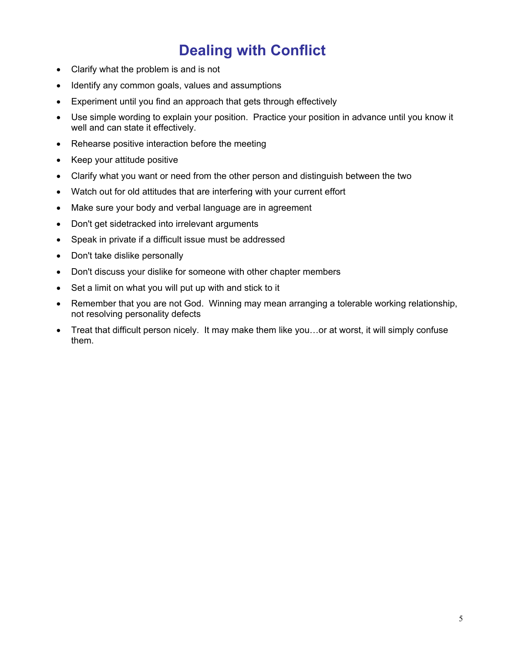# **Dealing with Conflict**

- <span id="page-4-0"></span>• Clarify what the problem is and is not
- Identify any common goals, values and assumptions
- Experiment until you find an approach that gets through effectively
- Use simple wording to explain your position. Practice your position in advance until you know it well and can state it effectively.
- Rehearse positive interaction before the meeting
- Keep your attitude positive
- Clarify what you want or need from the other person and distinguish between the two
- Watch out for old attitudes that are interfering with your current effort
- Make sure your body and verbal language are in agreement
- Don't get sidetracked into irrelevant arguments
- Speak in private if a difficult issue must be addressed
- Don't take dislike personally
- Don't discuss your dislike for someone with other chapter members
- Set a limit on what you will put up with and stick to it
- Remember that you are not God. Winning may mean arranging a tolerable working relationship, not resolving personality defects
- Treat that difficult person nicely. It may make them like you...or at worst, it will simply confuse them.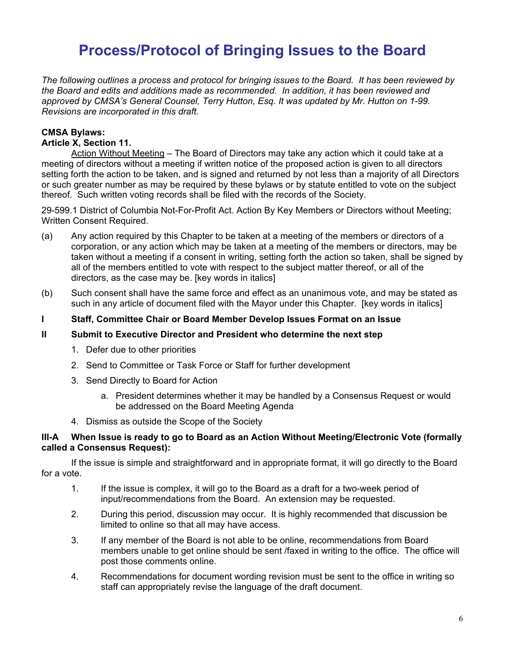### **Process/Protocol of Bringing Issues to the Board**

*The following outlines a process and protocol for bringing issues to the Board. It has been reviewed by the Board and edits and additions made as recommended. In addition, it has been reviewed and approved by CMSA's General Counsel, Terry Hutton, Esq. It was updated by Mr. Hutton on 1-99. Revisions are incorporated in this draft.* 

### **CMSA Bylaws:**

#### **Article X, Section 11.**

Action Without Meeting – The Board of Directors may take any action which it could take at a meeting of directors without a meeting if written notice of the proposed action is given to all directors setting forth the action to be taken, and is signed and returned by not less than a majority of all Directors or such greater number as may be required by these bylaws or by statute entitled to vote on the subject thereof. Such written voting records shall be filed with the records of the Society.

29-599.1 District of Columbia Not-For-Profit Act. Action By Key Members or Directors without Meeting; Written Consent Required.

- (a) Any action required by this Chapter to be taken at a meeting of the members or directors of a corporation, or any action which may be taken at a meeting of the members or directors, may be taken without a meeting if a consent in writing, setting forth the action so taken, shall be signed by all of the members entitled to vote with respect to the subject matter thereof, or all of the directors, as the case may be. [key words in italics]
- (b) Such consent shall have the same force and effect as an unanimous vote, and may be stated as such in any article of document filed with the Mayor under this Chapter. [key words in italics]

#### **I Staff, Committee Chair or Board Member Develop Issues Format on an Issue**

#### **II** Submit to Executive Director and President who determine the next step

- 1. Defer due to other priorities
- 2. Send to Committee or Task Force or Staff for further development
- 3. Send Directly to Board for Action
	- a. President determines whether it may be handled by a Consensus Request or would be addressed on the Board Meeting Agenda
- 4. Dismiss as outside the Scope of the Society

#### **III-A When Issue is ready to go to Board as an Action Without Meeting/Electronic Vote (formally called a Consensus Request):**

If the issue is simple and straightforward and in appropriate format, it will go directly to the Board for a vote.

- 1. If the issue is complex, it will go to the Board as a draft for a two-week period of input/recommendations from the Board. An extension may be requested.
- 2. During this period, discussion may occur. It is highly recommended that discussion be limited to online so that all may have access.
- 3. If any member of the Board is not able to be online, recommendations from Board members unable to get online should be sent /faxed in writing to the office. The office will post those comments online.
- 4. Recommendations for document wording revision must be sent to the office in writing so staff can appropriately revise the language of the draft document.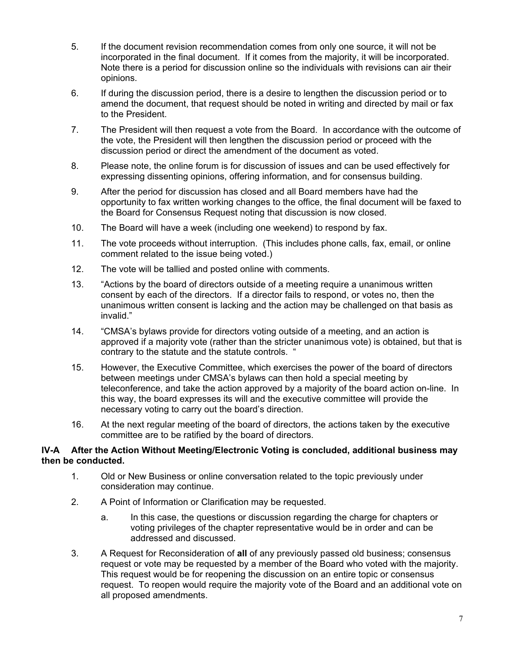- 5. If the document revision recommendation comes from only one source, it will not be incorporated in the final document. If it comes from the majority, it will be incorporated. Note there is a period for discussion online so the individuals with revisions can air their opinions.
- 6. If during the discussion period, there is a desire to lengthen the discussion period or to amend the document, that request should be noted in writing and directed by mail or fax to the President.
- 7. The President will then request a vote from the Board. In accordance with the outcome of the vote, the President will then lengthen the discussion period or proceed with the discussion period or direct the amendment of the document as voted.
- 8. Please note, the online forum is for discussion of issues and can be used effectively for expressing dissenting opinions, offering information, and for consensus building.
- 9. After the period for discussion has closed and all Board members have had the opportunity to fax written working changes to the office, the final document will be faxed to the Board for Consensus Request noting that discussion is now closed.
- 10. The Board will have a week (including one weekend) to respond by fax.
- 11. The vote proceeds without interruption. (This includes phone calls, fax, email, or online comment related to the issue being voted.)
- 12. The vote will be tallied and posted online with comments.
- 13. "Actions by the board of directors outside of a meeting require a unanimous written consent by each of the directors. If a director fails to respond, or votes no, then the unanimous written consent is lacking and the action may be challenged on that basis as invalid."
- 14. "CMSA's bylaws provide for directors voting outside of a meeting, and an action is approved if a majority vote (rather than the stricter unanimous vote) is obtained, but that is contrary to the statute and the statute controls. "
- 15. However, the Executive Committee, which exercises the power of the board of directors between meetings under CMSA's bylaws can then hold a special meeting by teleconference, and take the action approved by a majority of the board action on-line. In this way, the board expresses its will and the executive committee will provide the necessary voting to carry out the board's direction.
- 16. At the next regular meeting of the board of directors, the actions taken by the executive committee are to be ratified by the board of directors.

#### **IV-A After the Action Without Meeting/Electronic Voting is concluded, additional business may then be conducted.**

- 1. Old or New Business or online conversation related to the topic previously under consideration may continue.
- 2. A Point of Information or Clarification may be requested.
	- a. In this case, the questions or discussion regarding the charge for chapters or voting privileges of the chapter representative would be in order and can be addressed and discussed.
- 3. A Request for Reconsideration of **all** of any previously passed old business; consensus request or vote may be requested by a member of the Board who voted with the majority. This request would be for reopening the discussion on an entire topic or consensus request. To reopen would require the majority vote of the Board and an additional vote on all proposed amendments.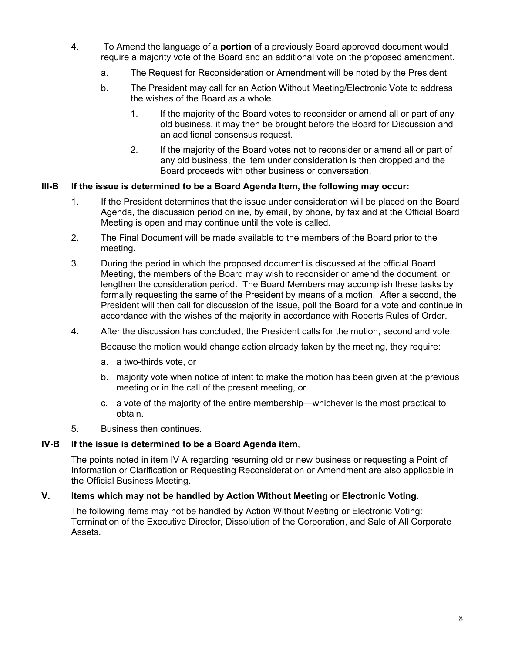- 4. To Amend the language of a **portion** of a previously Board approved document would require a majority vote of the Board and an additional vote on the proposed amendment.
	- a. The Request for Reconsideration or Amendment will be noted by the President
	- b. The President may call for an Action Without Meeting/Electronic Vote to address the wishes of the Board as a whole.
		- 1. If the majority of the Board votes to reconsider or amend all or part of any old business, it may then be brought before the Board for Discussion and an additional consensus request.
		- 2. If the majority of the Board votes not to reconsider or amend all or part of any old business, the item under consideration is then dropped and the Board proceeds with other business or conversation.

#### **III-B If the issue is determined to be a Board Agenda Item, the following may occur:**

- 1. If the President determines that the issue under consideration will be placed on the Board Agenda, the discussion period online, by email, by phone, by fax and at the Official Board Meeting is open and may continue until the vote is called.
- 2. The Final Document will be made available to the members of the Board prior to the meeting.
- 3. During the period in which the proposed document is discussed at the official Board Meeting, the members of the Board may wish to reconsider or amend the document, or lengthen the consideration period. The Board Members may accomplish these tasks by formally requesting the same of the President by means of a motion. After a second, the President will then call for discussion of the issue, poll the Board for a vote and continue in accordance with the wishes of the majority in accordance with Roberts Rules of Order.
- 4. After the discussion has concluded, the President calls for the motion, second and vote.

Because the motion would change action already taken by the meeting, they require:

- a. a two-thirds vote, or
- b. majority vote when notice of intent to make the motion has been given at the previous meeting or in the call of the present meeting, or
- c. a vote of the majority of the entire membership—whichever is the most practical to obtain.
- 5. Business then continues.

#### **IV-B If the issue is determined to be a Board Agenda item**,

The points noted in item IV A regarding resuming old or new business or requesting a Point of Information or Clarification or Requesting Reconsideration or Amendment are also applicable in the Official Business Meeting.

#### **V. Items which may not be handled by Action Without Meeting or Electronic Voting.**

The following items may not be handled by Action Without Meeting or Electronic Voting: Termination of the Executive Director, Dissolution of the Corporation, and Sale of All Corporate Assets.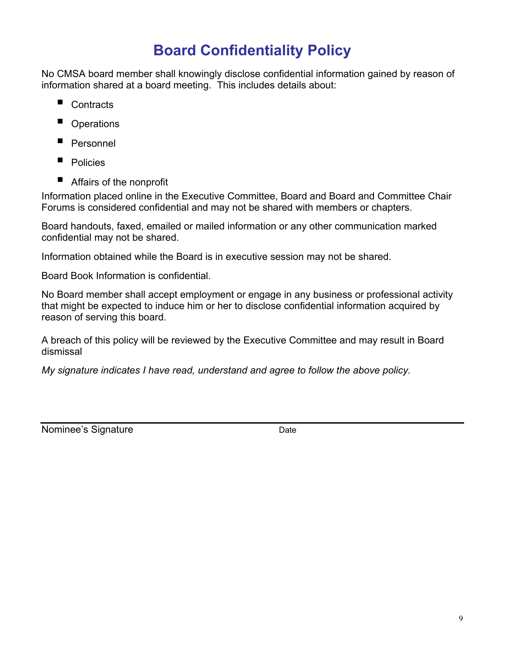# **Board Confidentiality Policy**

<span id="page-8-0"></span>No CMSA board member shall knowingly disclose confidential information gained by reason of information shared at a board meeting. This includes details about:

- Contracts
- **Operations**
- Personnel
- **Policies**
- Affairs of the nonprofit

Information placed online in the Executive Committee, Board and Board and Committee Chair Forums is considered confidential and may not be shared with members or chapters.

Board handouts, faxed, emailed or mailed information or any other communication marked confidential may not be shared.

Information obtained while the Board is in executive session may not be shared.

Board Book Information is confidential.

No Board member shall accept employment or engage in any business or professional activity that might be expected to induce him or her to disclose confidential information acquired by reason of serving this board.

A breach of this policy will be reviewed by the Executive Committee and may result in Board dismissal

*My signature indicates I have read, understand and agree to follow the above policy.* 

Nominee's Signature Date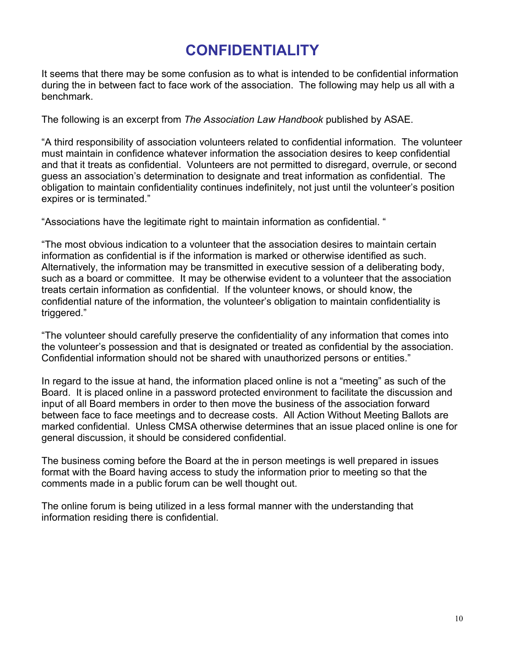# **CONFIDENTIALITY**

<span id="page-9-0"></span>It seems that there may be some confusion as to what is intended to be confidential information during the in between fact to face work of the association. The following may help us all with a benchmark.

The following is an excerpt from *The Association Law Handbook* published by ASAE.

"A third responsibility of association volunteers related to confidential information. The volunteer must maintain in confidence whatever information the association desires to keep confidential and that it treats as confidential. Volunteers are not permitted to disregard, overrule, or second guess an association's determination to designate and treat information as confidential. The obligation to maintain confidentiality continues indefinitely, not just until the volunteer's position expires or is terminated."

"Associations have the legitimate right to maintain information as confidential. "

"The most obvious indication to a volunteer that the association desires to maintain certain information as confidential is if the information is marked or otherwise identified as such. Alternatively, the information may be transmitted in executive session of a deliberating body, such as a board or committee. It may be otherwise evident to a volunteer that the association treats certain information as confidential. If the volunteer knows, or should know, the confidential nature of the information, the volunteer's obligation to maintain confidentiality is triggered."

"The volunteer should carefully preserve the confidentiality of any information that comes into the volunteer's possession and that is designated or treated as confidential by the association. Confidential information should not be shared with unauthorized persons or entities."

In regard to the issue at hand, the information placed online is not a "meeting" as such of the Board. It is placed online in a password protected environment to facilitate the discussion and input of all Board members in order to then move the business of the association forward between face to face meetings and to decrease costs. All Action Without Meeting Ballots are marked confidential. Unless CMSA otherwise determines that an issue placed online is one for general discussion, it should be considered confidential.

The business coming before the Board at the in person meetings is well prepared in issues format with the Board having access to study the information prior to meeting so that the comments made in a public forum can be well thought out.

The online forum is being utilized in a less formal manner with the understanding that information residing there is confidential.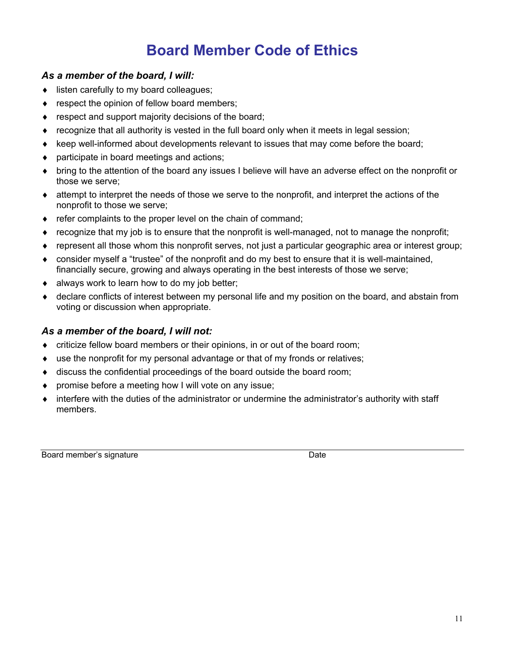# **Board Member Code of Ethics**

### <span id="page-10-0"></span>*As a member of the board, I will:*

- ♦ listen carefully to my board colleagues;
- respect the opinion of fellow board members;
- ♦ respect and support majority decisions of the board;
- recognize that all authority is vested in the full board only when it meets in legal session;
- ♦ keep well-informed about developments relevant to issues that may come before the board;
- participate in board meetings and actions;
- bring to the attention of the board any issues I believe will have an adverse effect on the nonprofit or those we serve;
- ♦ attempt to interpret the needs of those we serve to the nonprofit, and interpret the actions of the nonprofit to those we serve;
- ♦ refer complaints to the proper level on the chain of command;
- ♦ recognize that my job is to ensure that the nonprofit is well-managed, not to manage the nonprofit;
- represent all those whom this nonprofit serves, not just a particular geographic area or interest group;
- ♦ consider myself a "trustee" of the nonprofit and do my best to ensure that it is well-maintained, financially secure, growing and always operating in the best interests of those we serve;
- ♦ always work to learn how to do my job better;
- declare conflicts of interest between my personal life and my position on the board, and abstain from voting or discussion when appropriate.

### *As a member of the board, I will not:*

- ♦ criticize fellow board members or their opinions, in or out of the board room;
- use the nonprofit for my personal advantage or that of my fronds or relatives;
- ♦ discuss the confidential proceedings of the board outside the board room;
- ♦ promise before a meeting how I will vote on any issue;
- interfere with the duties of the administrator or undermine the administrator's authority with staff members.

Board member's signature **Date** Date of the Date of the Date of the Date of the Date of the Date of the Date of the Date of the Date of the Date of the Date of the Date of the Date of the Date of the Date of the Date of th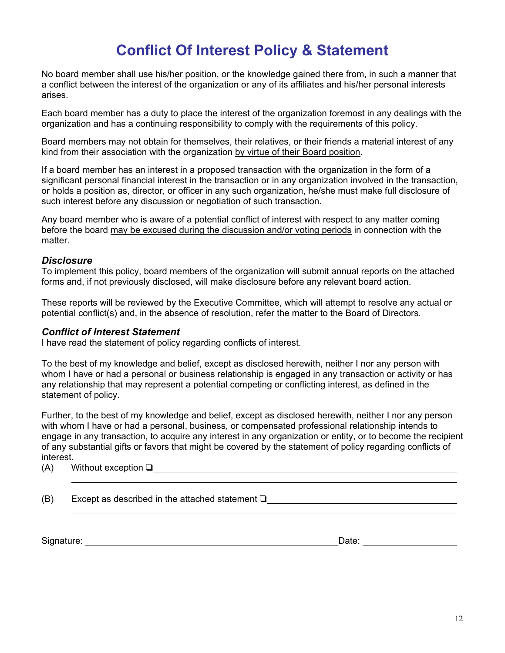### **Conflict Of Interest Policy & Statement**

<span id="page-11-0"></span>No board member shall use his/her position, or the knowledge gained there from, in such a manner that a conflict between the interest of the organization or any of its affiliates and his/her personal interests arises.

Each board member has a duty to place the interest of the organization foremost in any dealings with the organization and has a continuing responsibility to comply with the requirements of this policy.

Board members may not obtain for themselves, their relatives, or their friends a material interest of any kind from their association with the organization by virtue of their Board position.

If a board member has an interest in a proposed transaction with the organization in the form of a significant personal financial interest in the transaction or in any organization involved in the transaction, or holds a position as, director, or officer in any such organization, he/she must make full disclosure of such interest before any discussion or negotiation of such transaction.

Any board member who is aware of a potential conflict of interest with respect to any matter coming before the board may be excused during the discussion and/or voting periods in connection with the matter.

#### *Disclosure*

To implement this policy, board members of the organization will submit annual reports on the attached forms and, if not previously disclosed, will make disclosure before any relevant board action.

These reports will be reviewed by the Executive Committee, which will attempt to resolve any actual or potential conflict(s) and, in the absence of resolution, refer the matter to the Board of Directors.

#### *Conflict of Interest Statement*

I have read the statement of policy regarding conflicts of interest.

To the best of my knowledge and belief, except as disclosed herewith, neither I nor any person with whom I have or had a personal or business relationship is engaged in any transaction or activity or has any relationship that may represent a potential competing or conflicting interest, as defined in the statement of policy.

Further, to the best of my knowledge and belief, except as disclosed herewith, neither I nor any person with whom I have or had a personal, business, or compensated professional relationship intends to engage in any transaction, to acquire any interest in any organization or entity, or to become the recipient of any substantial gifts or favors that might be covered by the statement of policy regarding conflicts of interest.

 $(A)$  Without exception  $\square$ 

| (B) | Except as described in the attached statement $\Box$ |
|-----|------------------------------------------------------|
|-----|------------------------------------------------------|

Signature: Date: Date: Date: Date: Date: Date: Date: Date: Date: Date: Date: Date: Date: Date: Date: Date: Date: Date: Date: Date: Date: Date: Date: Date: Date: Date: Date: Date: Date: Date: Date: Date: Date: Date: Date: D

 $\overline{a}$ 

 $\overline{a}$